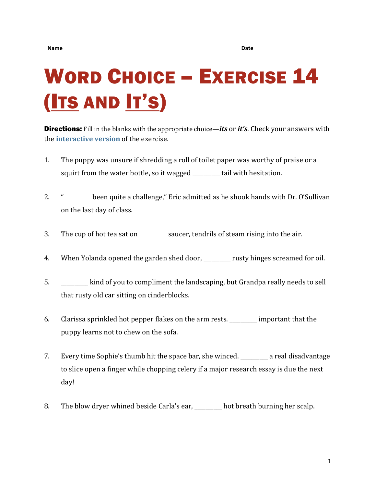## WORD CHOICE – EXERCISE 14 (ITS AND IT'S)

Directions: Fill in the blanks with the appropriate choice—*its* or *it's*. Check your answers with the **[interactive version](https://chompchomp.com/hotpotatoes/wordchoice14.htm)** of the exercise.

- 1. The puppy was unsure if shredding a roll of toilet paper was worthy of praise or a squirt from the water bottle, so it wagged tail with hesitation.
- 2. "\_\_\_\_\_\_\_\_\_\_ been quite a challenge," Eric admitted as he shook hands with Dr. O'Sullivan on the last day of class.
- 3. The cup of hot tea sat on \_\_\_\_\_\_\_\_\_ saucer, tendrils of steam rising into the air.
- 4. When Yolanda opened the garden shed door, when you rusty hinges screamed for oil.
- 5. \_\_\_\_\_\_\_\_\_\_ kind of you to compliment the landscaping, but Grandpa really needs to sell that rusty old car sitting on cinderblocks.
- 6. Clarissa sprinkled hot pepper flakes on the arm rests. \_\_\_\_\_\_\_\_\_\_ important that the puppy learns not to chew on the sofa.
- 7. Every time Sophie's thumb hit the space bar, she winced. \_\_\_\_\_\_\_\_\_\_ a real disadvantage to slice open a finger while chopping celery if a major research essay is due the next day!
- 8. The blow dryer whined beside Carla's ear, hot breath burning her scalp.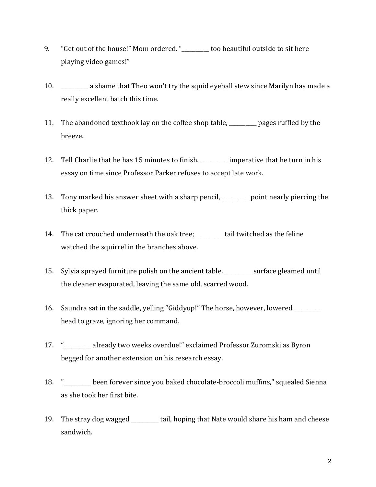- 9. "Get out of the house!" Mom ordered. "\_\_\_\_\_\_\_\_\_\_ too beautiful outside to sit here playing video games!"
- 10. \_\_\_\_\_\_\_\_\_\_ a shame that Theo won't try the squid eyeball stew since Marilyn has made a really excellent batch this time.
- 11. The abandoned textbook lay on the coffee shop table, \_\_\_\_\_\_\_\_\_\_ pages ruffled by the breeze.
- 12. Tell Charlie that he has 15 minutes to finish. **The imperative that he turn in his** essay on time since Professor Parker refuses to accept late work.
- 13. Tony marked his answer sheet with a sharp pencil, <u>shall</u> point nearly piercing the thick paper.
- 14. The cat crouched underneath the oak tree; https://www.tail twitched as the feline watched the squirrel in the branches above.
- 15. Sylvia sprayed furniture polish on the ancient table. Surface gleamed until the cleaner evaporated, leaving the same old, scarred wood.
- 16. Saundra sat in the saddle, yelling "Giddyup!" The horse, however, lowered \_\_\_\_\_\_\_\_\_\_ head to graze, ignoring her command.
- 17. "\_\_\_\_\_\_\_\_\_\_ already two weeks overdue!" exclaimed Professor Zuromski as Byron begged for another extension on his research essay.
- 18. "\_\_\_\_\_\_\_\_\_\_ been forever since you baked chocolate-broccoli muffins," squealed Sienna as she took her first bite.
- 19. The stray dog wagged \_\_\_\_\_\_\_\_\_\_ tail, hoping that Nate would share his ham and cheese sandwich.